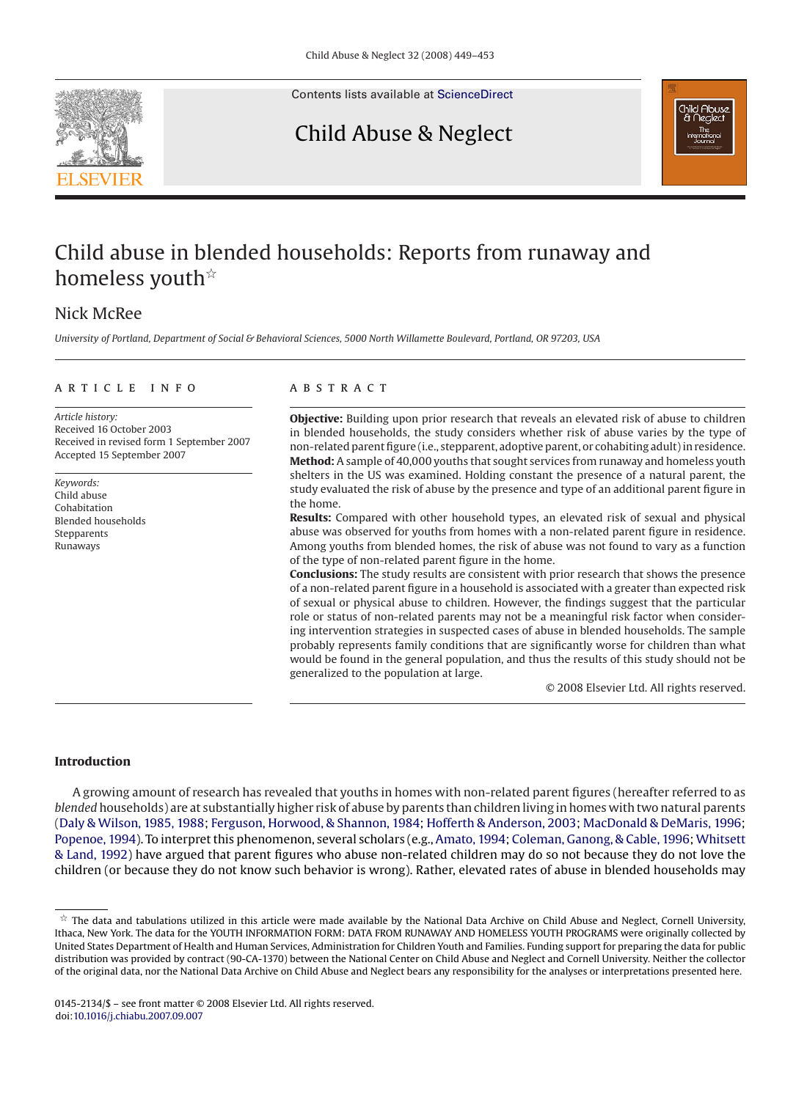Contents lists available at [ScienceDirect](http://www.sciencedirect.com/science/journal/01452134)

Child Abuse & Neglect



## Child abuse in blended households: Reports from runaway and homeless youth $^\star$

### Nick McRee

*University of Portland, Department of Social & Behavioral Sciences, 5000 North Willamette Boulevard, Portland, OR 97203, USA*

#### article info

*Article history:* Received 16 October 2003 Received in revised form 1 September 2007 Accepted 15 September 2007

*Keywords:* Child abuse Cohabitation Blended households Stepparents Runaways

#### ABSTRACT

**Objective:** Building upon prior research that reveals an elevated risk of abuse to children in blended households, the study considers whether risk of abuse varies by the type of non-related parent figure (i.e., stepparent, adoptive parent, or cohabiting adult) in residence. **Method:** A sample of 40,000 youths that sought services from runaway and homeless youth shelters in the US was examined. Holding constant the presence of a natural parent, the study evaluated the risk of abuse by the presence and type of an additional parent figure in the home.

**Results:** Compared with other household types, an elevated risk of sexual and physical abuse was observed for youths from homes with a non-related parent figure in residence. Among youths from blended homes, the risk of abuse was not found to vary as a function of the type of non-related parent figure in the home.

**Conclusions:** The study results are consistent with prior research that shows the presence of a non-related parent figure in a household is associated with a greater than expected risk of sexual or physical abuse to children. However, the findings suggest that the particular role or status of non-related parents may not be a meaningful risk factor when considering intervention strategies in suspected cases of abuse in blended households. The sample probably represents family conditions that are significantly worse for children than what would be found in the general population, and thus the results of this study should not be generalized to the population at large.

© 2008 Elsevier Ltd. All rights reserved.

#### **Introduction**

A growing amount of research has revealed that youths in homes with non-related parent figures (hereafter referred to as *blended* households) are at substantially higher risk of abuse by parents than children living in homes with two natural parents [\(Daly & Wilson, 1985, 1988;](#page--1-0) [Ferguson, Horwood, & Shannon, 1984;](#page--1-0) [Hofferth & Anderson, 2003;](#page--1-0) [MacDonald & DeMaris, 1996;](#page--1-0) [Popenoe, 1994\).](#page--1-0) To interpret this phenomenon, several scholars (e.g., [Amato, 1994;](#page--1-0) [Coleman, Ganong, & Cable, 1996;](#page--1-0) [Whitsett](#page--1-0) [& Land, 1992\)](#page--1-0) have argued that parent figures who abuse non-related children may do so not because they do not love the children (or because they do not know such behavior is wrong). Rather, elevated rates of abuse in blended households may

 $^\star$  The data and tabulations utilized in this article were made available by the National Data Archive on Child Abuse and Neglect, Cornell University, Ithaca, New York. The data for the YOUTH INFORMATION FORM: DATA FROM RUNAWAY AND HOMELESS YOUTH PROGRAMS were originally collected by United States Department of Health and Human Services, Administration for Children Youth and Families. Funding support for preparing the data for public distribution was provided by contract (90-CA-1370) between the National Center on Child Abuse and Neglect and Cornell University. Neither the collector of the original data, nor the National Data Archive on Child Abuse and Neglect bears any responsibility for the analyses or interpretations presented here.

<sup>0145-2134/\$ –</sup> see front matter © 2008 Elsevier Ltd. All rights reserved. doi[:10.1016/j.chiabu.2007.09.007](dx.doi.org/10.1016/j.chiabu.2007.09.007)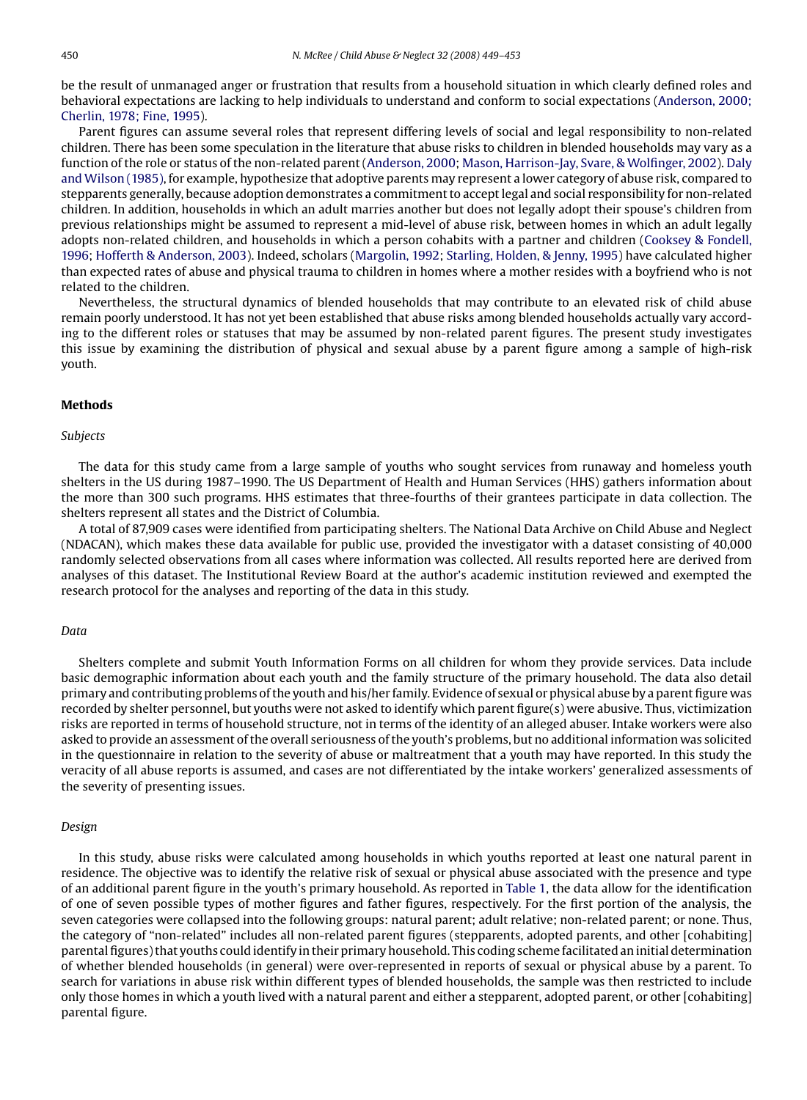be the result of unmanaged anger or frustration that results from a household situation in which clearly defined roles and behavioral expectations are lacking to help individuals to understand and conform to social expectations [\(Anderson, 2000;](#page--1-0) [Cherlin, 1978; Fine, 1995\).](#page--1-0)

Parent figures can assume several roles that represent differing levels of social and legal responsibility to non-related children. There has been some speculation in the literature that abuse risks to children in blended households may vary as a function of the role or status of the non-related parent ([Anderson, 2000;](#page--1-0) [Mason, Harrison-Jay, Svare, & Wolfinger, 2002\).](#page--1-0) [Daly](#page--1-0) [and Wilson \(1985\), f](#page--1-0)or example, hypothesize that adoptive parents may represent a lower category of abuse risk, compared to stepparents generally, because adoption demonstrates a commitment to accept legal and social responsibility for non-related children. In addition, households in which an adult marries another but does not legally adopt their spouse's children from previous relationships might be assumed to represent a mid-level of abuse risk, between homes in which an adult legally adopts non-related children, and households in which a person cohabits with a partner and children ([Cooksey & Fondell,](#page--1-0) [1996;](#page--1-0) [Hofferth & Anderson, 2003\).](#page--1-0) Indeed, scholars ([Margolin, 1992;](#page--1-0) [Starling, Holden, & Jenny, 1995\)](#page--1-0) have calculated higher than expected rates of abuse and physical trauma to children in homes where a mother resides with a boyfriend who is not related to the children.

Nevertheless, the structural dynamics of blended households that may contribute to an elevated risk of child abuse remain poorly understood. It has not yet been established that abuse risks among blended households actually vary according to the different roles or statuses that may be assumed by non-related parent figures. The present study investigates this issue by examining the distribution of physical and sexual abuse by a parent figure among a sample of high-risk youth.

#### **Methods**

#### *Subjects*

The data for this study came from a large sample of youths who sought services from runaway and homeless youth shelters in the US during 1987–1990. The US Department of Health and Human Services (HHS) gathers information about the more than 300 such programs. HHS estimates that three-fourths of their grantees participate in data collection. The shelters represent all states and the District of Columbia.

A total of 87,909 cases were identified from participating shelters. The National Data Archive on Child Abuse and Neglect (NDACAN), which makes these data available for public use, provided the investigator with a dataset consisting of 40,000 randomly selected observations from all cases where information was collected. All results reported here are derived from analyses of this dataset. The Institutional Review Board at the author's academic institution reviewed and exempted the research protocol for the analyses and reporting of the data in this study.

#### *Data*

Shelters complete and submit Youth Information Forms on all children for whom they provide services. Data include basic demographic information about each youth and the family structure of the primary household. The data also detail primary and contributing problems of the youth and his/her family. Evidence of sexual or physical abuse by a parent figure was recorded by shelter personnel, but youths were not asked to identify which parent figure(s) were abusive. Thus, victimization risks are reported in terms of household structure, not in terms of the identity of an alleged abuser. Intake workers were also asked to provide an assessment of the overall seriousness of the youth's problems, but no additional information was solicited in the questionnaire in relation to the severity of abuse or maltreatment that a youth may have reported. In this study the veracity of all abuse reports is assumed, and cases are not differentiated by the intake workers' generalized assessments of the severity of presenting issues.

#### *Design*

In this study, abuse risks were calculated among households in which youths reported at least one natural parent in residence. The objective was to identify the relative risk of sexual or physical abuse associated with the presence and type of an additional parent figure in the youth's primary household. As reported in [Table 1, t](#page--1-0)he data allow for the identification of one of seven possible types of mother figures and father figures, respectively. For the first portion of the analysis, the seven categories were collapsed into the following groups: natural parent; adult relative; non-related parent; or none. Thus, the category of "non-related" includes all non-related parent figures (stepparents, adopted parents, and other [cohabiting] parental figures) that youths could identify in their primary household. This coding scheme facilitated an initial determination of whether blended households (in general) were over-represented in reports of sexual or physical abuse by a parent. To search for variations in abuse risk within different types of blended households, the sample was then restricted to include only those homes in which a youth lived with a natural parent and either a stepparent, adopted parent, or other [cohabiting] parental figure.